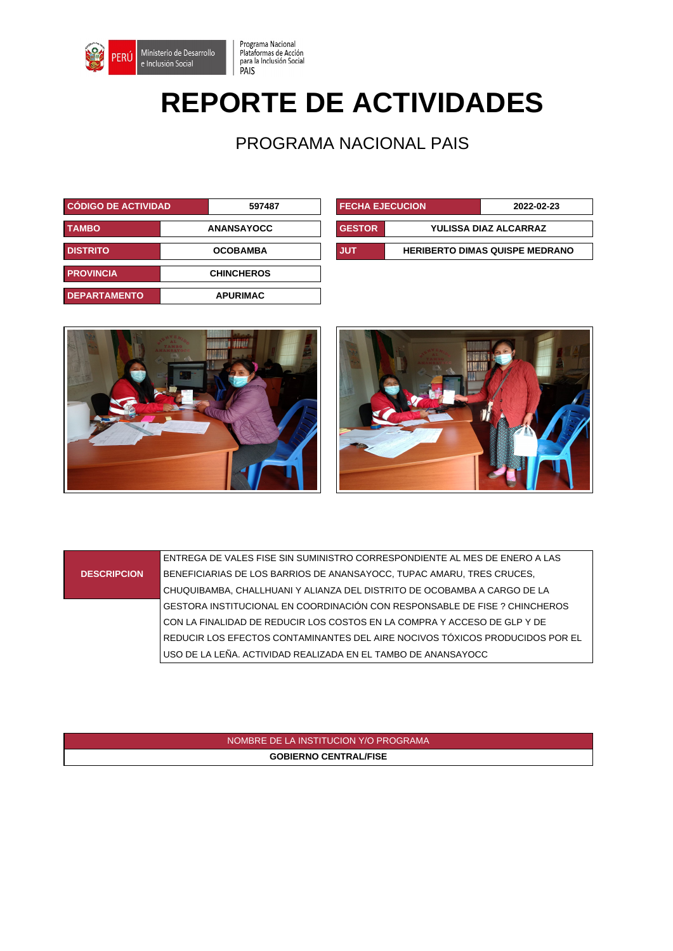

Programa Nacional Plataformas de Acción<br>para la Inclusión Social PAIS

# **REPORTE DE ACTIVIDADES**

PROGRAMA NACIONAL PAIS

| CÓDIGO DE ACTIVIDAD                   | 597487            | <b>FECHA EJECUCION</b> |                              | 2022-02-23                            |
|---------------------------------------|-------------------|------------------------|------------------------------|---------------------------------------|
| <b>TAMBO</b>                          | <b>ANANSAYOCC</b> | <b>GESTOR</b>          | <b>YULISSA DIAZ ALCARRAZ</b> |                                       |
| <b>DISTRITO</b>                       | <b>OCOBAMBA</b>   | <b>JUT</b>             |                              | <b>HERIBERTO DIMAS QUISPE MEDRANO</b> |
| <b>PROVINCIA</b><br><b>CHINCHEROS</b> |                   |                        |                              |                                       |
| <b>DEPARTAMENTO</b>                   | <b>APURIMAC</b>   |                        |                              |                                       |

| <b>FECHA EJECUCION</b>                              |                       | 2022-02-23 |  |
|-----------------------------------------------------|-----------------------|------------|--|
| <b>GESTOR</b>                                       | YULISSA DIAZ ALCARRAZ |            |  |
| <b>JUT</b><br><b>HERIBERTO DIMAS QUISPE MEDRANO</b> |                       |            |  |



#### **DESCRIPCION** ENTREGA DE VALES FISE SIN SUMINISTRO CORRESPONDIENTE AL MES DE ENERO A LAS BENEFICIARIAS DE LOS BARRIOS DE ANANSAYOCC, TUPAC AMARU, TRES CRUCES, CHUQUIBAMBA, CHALLHUANI Y ALIANZA DEL DISTRITO DE OCOBAMBA A CARGO DE LA GESTORA INSTITUCIONAL EN COORDINACIÓN CON RESPONSABLE DE FISE ? CHINCHEROS CON LA FINALIDAD DE REDUCIR LOS COSTOS EN LA COMPRA Y ACCESO DE GLP Y DE REDUCIR LOS EFECTOS CONTAMINANTES DEL AIRE NOCIVOS TÓXICOS PRODUCIDOS POR EL USO DE LA LEÑA. ACTIVIDAD REALIZADA EN EL TAMBO DE ANANSAYOCC

#### NOMBRE DE LA INSTITUCION Y/O PROGRAMA **GOBIERNO CENTRAL/FISE**